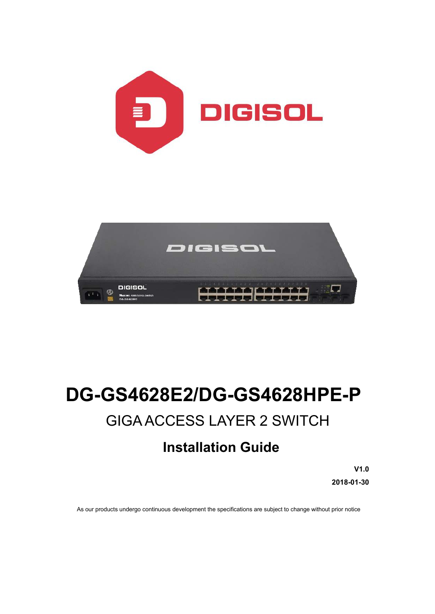



# **DG-GS4628E2/DG-GS4628HPE-P** GIGA ACCESS LAYER 2 SWITCH

# **Installation Guide**

**V1.0 2018-01-30**

As our products undergo continuous development the specifications are subject to change without prior notice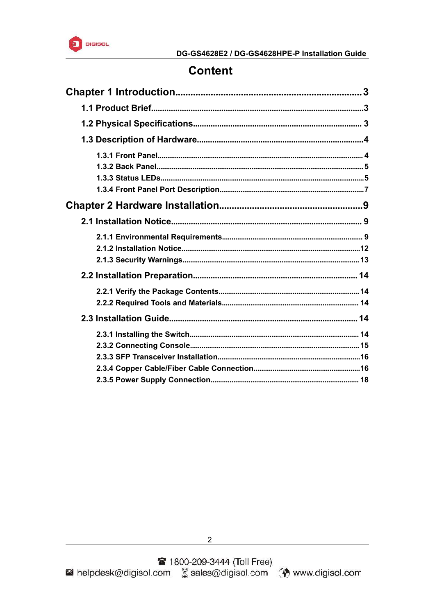

# **Content**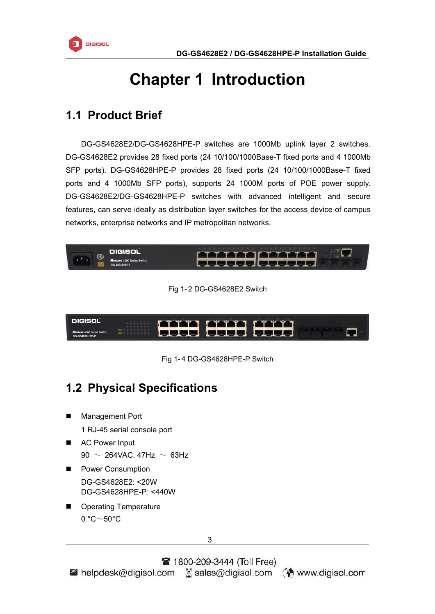<span id="page-2-1"></span>

# <span id="page-2-0"></span>**Chapter 1 Introduction**

# **1.1 Product Brief**

DG-GS4628E2/DG-GS4628HPE-P switches are 1000Mb uplink layer 2 switches. DG-GS4628E2 provides 28 fixed ports (24 10/100/1000Base-T fixed ports and 4 1000Mb SFP ports). DG-GS4628HPE-P provides 28 fixed ports (24 10/100/1000Base-T fixed ports and 4 1000Mb SFP ports), supports 24 1000M ports of POE power supply. DG-GS4628E2/DG-GS4628HPE-P switches with advanced intelligent and secure features, can serve ideally as distribution layer switches for the access device of campus networks, enterprise networks and IP metropolitan networks.



Fig 1- 2 DG-GS4628E2 Switch



Fig 1- 4 DG-GS4628HPE-P Switch

# **1.2 Physical Specifications**

**Management Port** 

1 RJ-45 serial console port

- AC Power Input 90  $\sim$  264VAC, 47Hz  $\sim$  63Hz
- **Power Consumption** DG-GS4628E2: <20W DG-GS4628HPE-P: <440W
- **Derating Temperature**  $0 °C \sim 50 °C$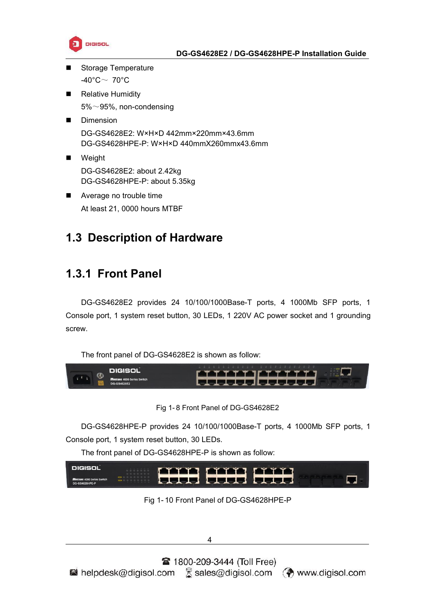

- <span id="page-3-1"></span><span id="page-3-0"></span>Storage Temperature -40 $^{\circ}$ C $\sim$  70 $^{\circ}$ C
- Relative Humidity 5%~95%, non-condensing
- **Dimension** DG-GS4628E2: W×H×D 442mm×220mm×43.6mm DG-GS4628HPE-P: W×H×D 440mmX260mmx43.6mm
- **Neight** DG-GS4628E2: about 2.42kg DG-GS4628HPE-P: about 5.35kg
- Average no trouble time At least 21, 0000 hours MTBF

# **1.3 Description of Hardware**

# **1.3.1 Front Panel**

DG-GS4628E2 provides 24 10/100/1000Base-T ports, 4 1000Mb SFP ports, 1 Console port, 1 system reset button, 30 LEDs, 1 220V AC power socket and 1 grounding screw.

The front panel of DG-GS4628E2 is shown as follow:



Fig 1- 8 Front Panel of DG-GS4628E2

DG-GS4628HPE-P provides 24 10/100/1000Base-T ports, 4 1000Mb SFP ports, 1 Console port, 1 system reset button, 30 LEDs.

The front panel of DG-GS4628HPE-P is shown as follow:



Fig 1- 10 Front Panel of DG-GS4628HPE-P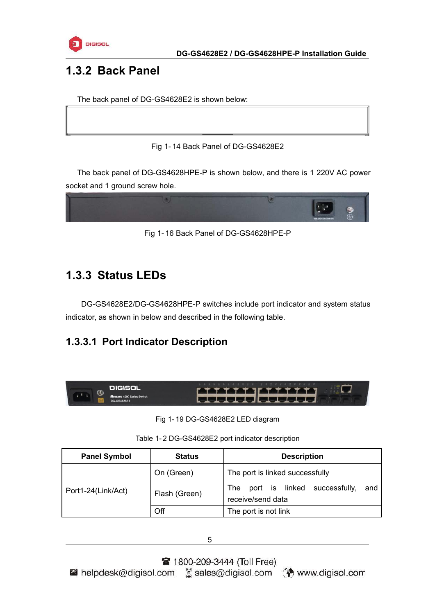

# <span id="page-4-0"></span>**1.3.2 Back Panel**

The back panel of DG-GS4628E2 is shown below:

#### Fig 1- 14 Back Panel of DG-GS4628E2

The back panel of DG-GS4628HPE-P is shown below, and there is 1 220V AC power socket and 1 ground screw hole.



Fig 1- 16 Back Panel of DG-GS4628HPE-P

# **1.3.3 Status LEDs**

DG-GS4628E2/DG-GS4628HPE-P switches include port indicator and system status indicator, as shown in below and described in the following table.

# **1.3.3.1 Port Indicator Description**



Fig 1- 19 DG-GS4628E2 LED diagram

| Table 1-2 DG-GS4628E2 port indicator description |
|--------------------------------------------------|
|                                                  |

| <b>Panel Symbol</b> | <b>Status</b> | <b>Description</b>                                                   |
|---------------------|---------------|----------------------------------------------------------------------|
|                     | On (Green)    | The port is linked successfully                                      |
| Port1-24(Link/Act)  | Flash (Green) | successfully,<br>port is linked<br>and<br>The l<br>receive/send data |
|                     | Off           | The port is not link                                                 |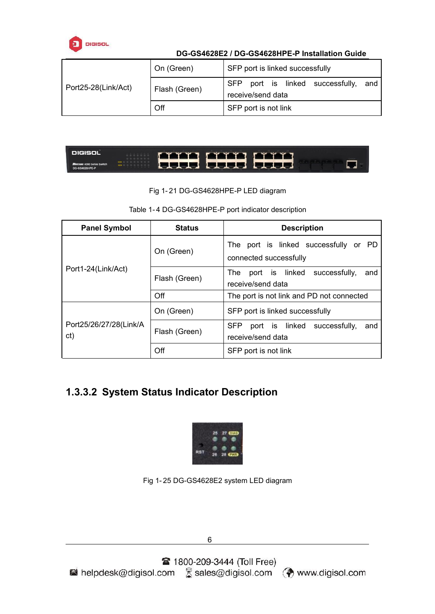

|                     | On (Green)    | SFP port is linked successfully                                        |
|---------------------|---------------|------------------------------------------------------------------------|
| Port25-28(Link/Act) | Flash (Green) | port is linked successfully,<br><b>SFP</b><br>and<br>receive/send data |
|                     | Off           | SFP port is not link                                                   |

| DIGISOL                                             | <b>Fitti fitti fitti</b> |  |  |
|-----------------------------------------------------|--------------------------|--|--|
| <b>MUSTANG 4000 Series Switch</b><br>DG-GS4628HPE-P | I SSSS - SSSS - SSSS!    |  |  |

Fig 1- 21 DG-GS4628HPE-P LED diagram

#### Table 1- 4 DG-GS4628HPE-P port indicator description

| <b>Panel Symbol</b>            | <b>Status</b>               | <b>Description</b>                                                           |  |  |
|--------------------------------|-----------------------------|------------------------------------------------------------------------------|--|--|
|                                | On (Green)<br>Flash (Green) | PD<br>The port is linked successfully or<br>connected successfully           |  |  |
| Port1-24(Link/Act)             |                             | successfully,<br>port is linked<br><b>The</b><br>and<br>receive/send data    |  |  |
|                                | Off                         | The port is not link and PD not connected                                    |  |  |
|                                | On (Green)                  | SFP port is linked successfully                                              |  |  |
| Port25/26/27/28(Link/A)<br>ct) | Flash (Green)               | <b>SFP</b><br>linked<br>successfully,<br>port is<br>and<br>receive/send data |  |  |
|                                | Off                         | SFP port is not link                                                         |  |  |

### **1.3.3.2 System Status Indicator Description**



Fig 1- 25 DG-GS4628E2 system LED diagram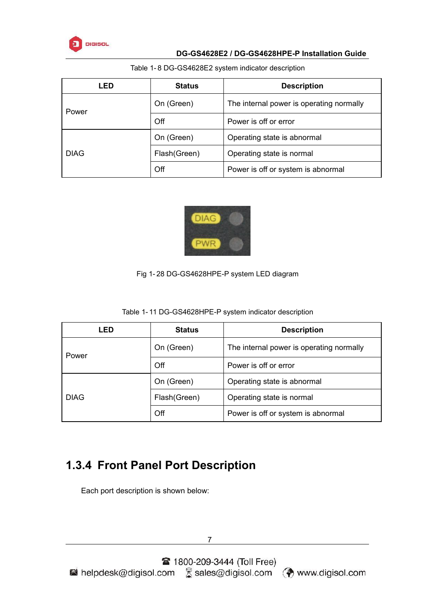

| LED         | <b>Status</b> | <b>Description</b>                       |
|-------------|---------------|------------------------------------------|
| Power       | On (Green)    | The internal power is operating normally |
|             | Off           | Power is off or error                    |
|             | On (Green)    | Operating state is abnormal              |
| <b>DIAG</b> | Flash (Green) | Operating state is normal                |
|             | Off           | Power is off or system is abnormal       |

#### <span id="page-6-0"></span>Table 1- 8 DG-GS4628E2 system indicator description



#### Fig 1- 28 DG-GS4628HPE-P system LED diagram

Table 1- 11 DG-GS4628HPE-P system indicator description

| <b>LED</b>  | <b>Status</b> | <b>Description</b>                       |
|-------------|---------------|------------------------------------------|
| Power       | On (Green)    | The internal power is operating normally |
|             | Off           | Power is off or error                    |
|             | On (Green)    | Operating state is abnormal              |
| <b>DIAG</b> | Flash (Green) | Operating state is normal                |
|             | Off           | Power is off or system is abnormal       |

# **1.3.4 Front Panel Port Description**

Each port description is shown below: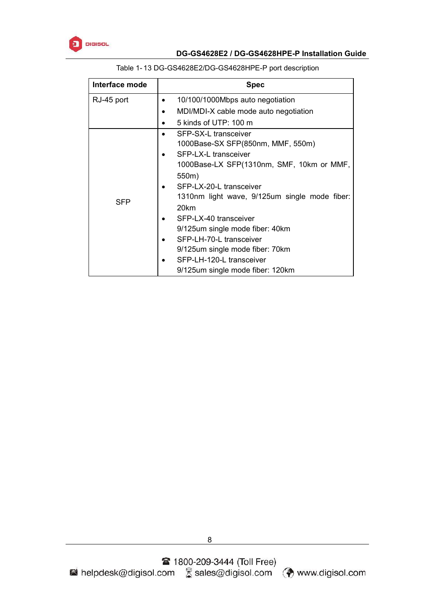

| Interface mode | <b>Spec</b>                                   |
|----------------|-----------------------------------------------|
| RJ-45 port     | 10/100/1000Mbps auto negotiation              |
|                | MDI/MDI-X cable mode auto negotiation         |
|                | 5 kinds of UTP: 100 m                         |
|                | SFP-SX-L transceiver                          |
|                | 1000Base-SX SFP(850nm, MMF, 550m)             |
|                | SFP-LX-L transceiver                          |
|                | 1000Base-LX SFP(1310nm, SMF, 10km or MMF,     |
|                | 550m)                                         |
|                | SFP-LX-20-L transceiver                       |
|                | 1310nm light wave, 9/125um single mode fiber: |
| <b>SFP</b>     | 20km                                          |
|                | SFP-LX-40 transceiver                         |
|                | 9/125 um single mode fiber: 40 km             |
|                | SFP-LH-70-L transceiver                       |
|                | 9/125 um single mode fiber: 70 km             |
|                | SFP-LH-120-L transceiver                      |
|                | 9/125um single mode fiber: 120km              |

#### Table 1- 13 DG-GS4628E2/DG-GS4628HPE-P port description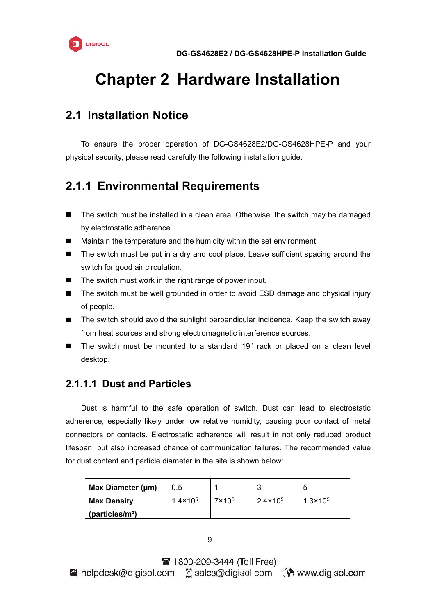

# <span id="page-8-2"></span><span id="page-8-1"></span><span id="page-8-0"></span>**Chapter 2 Hardware Installation**

### **2.1 Installation Notice**

To ensure the proper operation of DG-GS4628E2/DG-GS4628HPE-P and your physical security, please read carefully the following installation guide.

### **2.1.1 Environmental Requirements**

- The switch must be installed in a clean area. Otherwise, the switch may be damaged by electrostatic adherence.
- Maintain the temperature and the humidity within the set environment.
- The switch must be put in a dry and cool place. Leave sufficient spacing around the switch for good air circulation.
- The switch must work in the right range of power input.
- The switch must be well grounded in order to avoid ESD damage and physical injury of people.
- The switch should avoid the sunlight perpendicular incidence. Keep the switch away from heat sources and strong electromagnetic interference sources.
- The switch must be mounted to a standard 19'' rack or placed on a clean level desktop.

### **2.1.1.1 Dust and Particles**

Dust is harmful to the safe operation of switch. Dust can lead to electrostatic adherence, especially likely under low relative humidity, causing poor contact of metal connectors or contacts. Electrostatic adherence will result in not only reduced product lifespan, but also increased chance of communication failures. The recommended value for dust content and particle diameter in the site is shown below:

| Max Diameter (µm)            | 0.5               |                 |                   | b                   |
|------------------------------|-------------------|-----------------|-------------------|---------------------|
| <b>Max Density</b>           | $1.4 \times 10^5$ | $7 \times 10^5$ | $2.4 \times 10^5$ | $1.3 \times 10^{5}$ |
| (particle s/m <sup>3</sup> ) |                   |                 |                   |                     |

9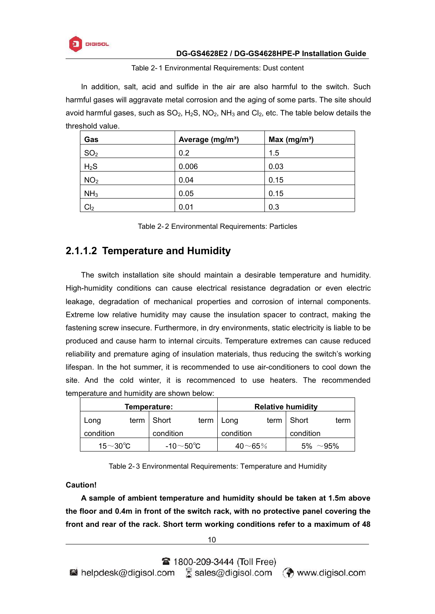

Table 2- 1 Environmental Requirements: Dust content

In addition, salt, acid and sulfide in the air are also harmful to the switch. Such harmful gases will aggravate metal corrosion and the aging of some parts. The site should avoid harmful gases, such as  $SO_2$ ,  $H_2S$ ,  $NO_2$ ,  $NH_3$  and  $Cl_2$ , etc. The table below details the threshold value.

| Gas             | Average (mg/m <sup>3</sup> ) | Max (mg/m <sup>3</sup> ) |
|-----------------|------------------------------|--------------------------|
| SO <sub>2</sub> | 0.2                          | 1.5                      |
| $H_2S$          | 0.006                        | 0.03                     |
| NO <sub>2</sub> | 0.04                         | 0.15                     |
| NH <sub>3</sub> | 0.05                         | 0.15                     |
| Cl <sub>2</sub> | 0.01                         | 0.3                      |

|  | Table 2-2 Environmental Requirements: Particles |
|--|-------------------------------------------------|
|--|-------------------------------------------------|

### **2.1.1.2 Temperature and Humidity**

The switch installation site should maintain a desirable temperature and humidity. High-humidity conditions can cause electrical resistance degradation or even electric leakage, degradation of mechanical properties and corrosion of internal components. Extreme low relative humidity may cause the insulation spacer to contract, making the fastening screw insecure. Furthermore, in dry environments, static electricity is liable to be produced and cause harm to internal circuits. Temperature extremes can cause reduced reliability and premature aging of insulation materials, thus reducing the switch's working lifespan. In the hot summer, it is recommended to use air-conditioners to cool down the site. And the cold winter, it is recommenced to use heaters. The recommended temperature and humidity are shown below:

| Temperature:   |      |                 |      | <b>Relative humidity</b> |      |                  |      |
|----------------|------|-----------------|------|--------------------------|------|------------------|------|
| Long           | term | Short           | term | Long                     | term | Short            | term |
| condition      |      | condition       |      | condition                |      | condition        |      |
| 15 $\sim$ 30°C |      | -10 $\sim$ 50°C |      | $40\neg 65\%$            |      | 5%<br>$\sim$ 95% |      |

Table 2- 3 Environmental Requirements: Temperature and Humidity

**Caution!**

**A sample of ambient temperature and humidity should be taken at 1.5m above the floor and 0.4m in front of the switch rack, with no protective panel covering the front and rear of the rack. Short term working conditions refer to a maximum of 48**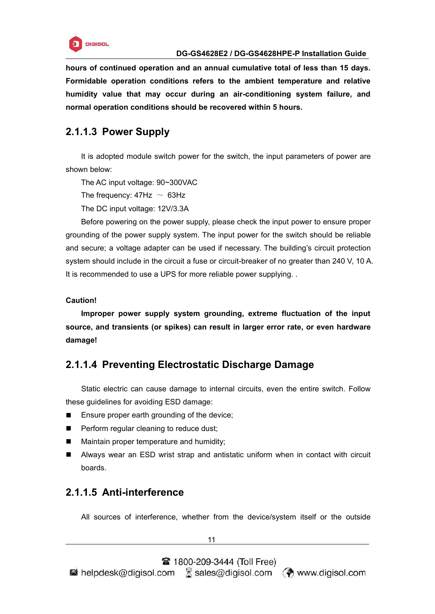

**hours of continued operation and an annual cumulative total of less than 15 days. Formidable operation conditions refers to the ambient temperature and relative humidity value that may occur during an air-conditioning system failure, and normal operation conditions should be recovered within 5 hours.**

### **2.1.1.3 Power Supply**

It is adopted module switch power for the switch, the input parameters of power are shown below:

The AC input voltage: 90~300VAC

The frequency:  $47Hz \sim 63Hz$ 

The DC input voltage: 12V/3.3A

Before powering on the power supply, please check the input power to ensure proper grounding of the power supply system. The input power for the switch should be reliable and secure; a voltage adapter can be used if necessary. The building's circuit protection system should include in the circuit a fuse or circuit-breaker of no greater than 240 V, 10 A. It is recommended to use a UPS for more reliable power supplying...

#### **Caution!**

**Improper power supply system grounding, extreme fluctuation of the input source, and transients (or spikes) can result in larger error rate, or even hardware damage!**

### **2.1.1.4 Preventing Electrostatic Discharge Damage**

Static electric can cause damage to internal circuits, even the entire switch. Follow these guidelines for avoiding ESD damage:

- Ensure proper earth grounding of the device;
- **Perform regular cleaning to reduce dust:**
- **Maintain proper temperature and humidity;**
- Always wear an ESD wrist strap and antistatic uniform when in contact with circuit boards.

### **2.1.1.5 Anti-interference**

All sources of interference, whether from the device/system itself or the outside

11

<sup>2</sup> 1800-209-3444 (Toll Free)

 $\blacksquare$  helpdesk@digisol.com  $\mathbb R$  sales@digisol.com  $\blacksquare$  www.digisol.com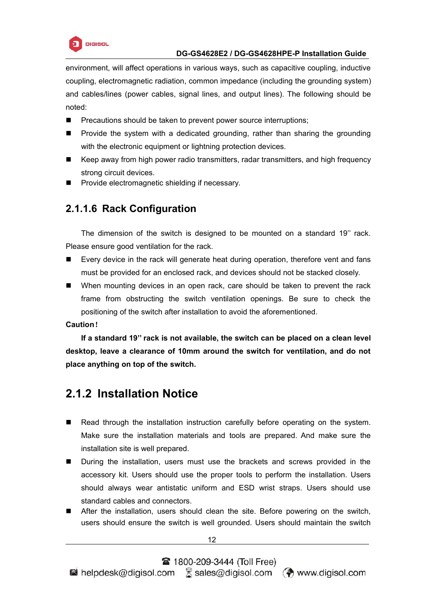

<span id="page-11-0"></span>environment, will affect operations in various ways, such as capacitive coupling, inductive coupling, electromagnetic radiation, common impedance (including the grounding system) and cables/lines (power cables, signal lines, and output lines). The following should be noted:

- **Pecautions should be taken to prevent power source interruptions;**
- **Provide the system with a dedicated grounding, rather than sharing the grounding** with the electronic equipment or lightning protection devices.
- Keep away from high power radio transmitters, radar transmitters, and high frequency strong circuit devices.
- **Provide electromagnetic shielding if necessary.**

### **2.1.1.6 Rack Configuration**

The dimension of the switch is designed to be mounted on a standard 19'' rack. Please ensure good ventilation for the rack.

- Every device in the rack will generate heat during operation, therefore vent and fans must be provided for an enclosed rack, and devices should not be stacked closely.
- When mounting devices in an open rack, care should be taken to prevent the rack frame from obstructing the switch ventilation openings. Be sure to check the positioning of the switch after installation to avoid the aforementioned.

#### **Caution**!

**If a standard 19'' rack is not available, the switch can be placed on a clean level desktop, leave a clearance of 10mm around the switch for ventilation, and do not place anything on top of the switch.**

### **2.1.2 Installation Notice**

- Read through the installation instruction carefully before operating on the system. Make sure the installation materials and tools are prepared. And make sure the installation site is well prepared.
- **During the installation, users must use the brackets and screws provided in the** accessory kit. Users should use the proper tools to perform the installation. Users should always wear antistatic uniform and ESD wrist straps. Users should use standard cables and connectors.
- After the installation, users should clean the site. Before powering on the switch, users should ensure the switch is well grounded. Users should maintain the switch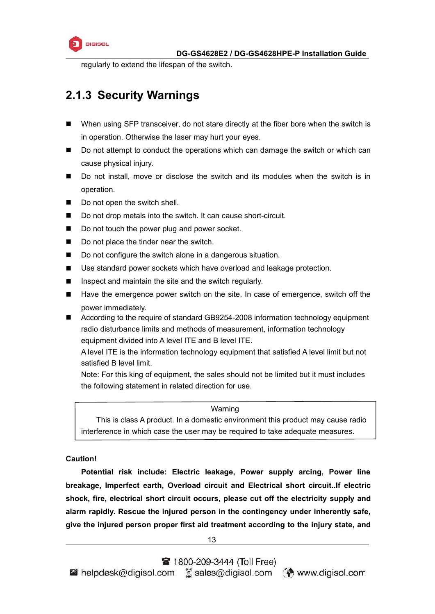

<span id="page-12-0"></span>regularly to extend the lifespan of the switch.

# **2.1.3 Security Warnings**

- When using SFP transceiver, do not stare directly at the fiber bore when the switch is in operation. Otherwise the laser may hurt your eyes.
- Do not attempt to conduct the operations which can damage the switch or which can cause physical injury.
- Do not install, move or disclose the switch and its modules when the switch is in operation.
- Do not open the switch shell.
- Do not drop metals into the switch. It can cause short-circuit.
- Do not touch the power plug and power socket.
- Do not place the tinder near the switch.
- Do not configure the switch alone in a dangerous situation.
- Use standard power sockets which have overload and leakage protection.
- $\blacksquare$  Inspect and maintain the site and the switch regularly.
- Have the emergence power switch on the site. In case of emergence, switch off the power immediately.
- According to the require of standard GB9254-2008 information technology equipment radio disturbance limits and methods of measurement, information technology equipment divided into A level ITE and B level ITE.

A level ITE is the information technology equipment that satisfied A level limit but not satisfied B level limit.

Note: For this king of equipment, the sales should not be limited but it must includes the following statement in related direction for use.

#### Warning

This is class A product. In a domestic environment this product may cause radio interference in which case the user may be required to take adequate measures.

#### **Caution!**

**Potential risk include: Electric leakage, Power supply arcing, Power line breakage, Imperfect earth, Overload circuit and Electrical short circuit..If electric shock, fire, electrical short circuit occurs, please cut off the electricity supply and alarm rapidly. Rescue the injured person in the contingency under inherently safe, give the injured person proper first aid treatment according to the injury state, and**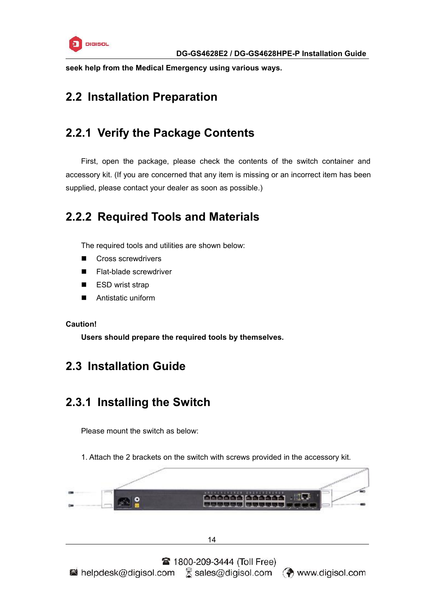

<span id="page-13-1"></span><span id="page-13-0"></span>**seek help from the Medical Emergency using various ways.**

# **2.2 Installation Preparation**

# **2.2.1 Verify the Package Contents**

First, open the package, please check the contents of the switch container and accessory kit. (If you are concerned that any item is missing or an incorrect item has been supplied, please contact your dealer as soon as possible.)

# **2.2.2 Required Tools and Materials**

The required tools and utilities are shown below:

- Cross screwdrivers
- Flat-blade screwdriver
- ESD wrist strap
- **Antistatic uniform**

#### **Caution!**

**Users should prepare the required tools by themselves.**

### **2.3 Installation Guide**

# **2.3.1 Installing the Switch**

Please mount the switch as below:

1. Attach the 2 brackets on the switch with screws provided in the accessory kit.

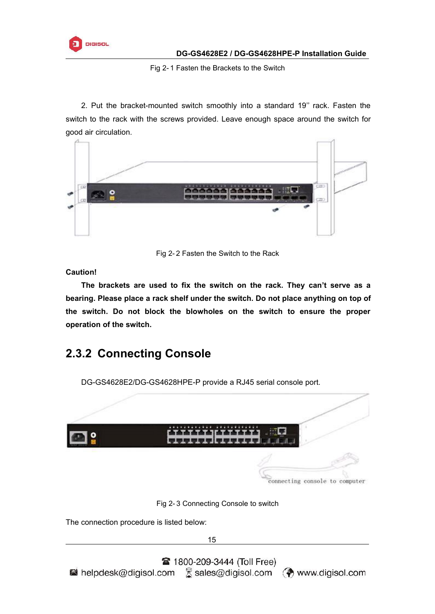<span id="page-14-0"></span>

Fig 2- 1 Fasten the Brackets to the Switch

2. Put the bracket-mounted switch smoothly into a standard 19'' rack. Fasten the switch to the rack with the screws provided. Leave enough space around the switch for good air circulation.



Fig 2- 2 Fasten the Switch to the Rack

**Caution!**

**The brackets are used to fix the switch on the rack. They can't serve as a bearing. Please place a rack shelf under the switch. Do not place anything on top of the switch. Do not block the blowholes on the switch to ensure the proper operation of the switch.**

# **2.3.2 Connecting Console**

DG-GS4628E2/DG-GS4628HPE-P provide a RJ45 serial console port. connecting console to computer Fig 2- 3 Connecting Console to switch The connection procedure is listed below:15 **2** 1800-209-3444 (Toll Free) helpdesk@digisol.com S sales@digisol.com (?) www.digisol.com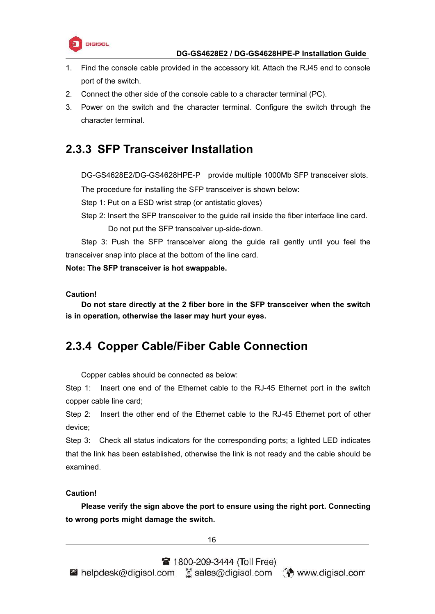

- <span id="page-15-0"></span>1. Find the console cable provided in the accessory kit. Attach the RJ45 end to console port of the switch.
- 2. Connect the other side of the console cable to a character terminal (PC).
- 3. Power on the switch and the character terminal. Configure the switch through the character terminal.

### **2.3.3 SFP Transceiver Installation**

DG-GS4628E2/DG-GS4628HPE-P provide multiple 1000Mb SFP transceiver slots.

The procedure for installing the SFP transceiver is shown below:

Step 1: Put on a ESD wrist strap (or antistatic gloves)

Step 2: Insert the SFP transceiver to the guide rail inside the fiber interface line card. Do not put the SFP transceiver up-side-down.

Step 3: Push the SFP transceiver along the guide rail gently until you feel the transceiver snap into place at the bottom of the line card.

**Note: The SFP transceiver is hot swappable.**

**Caution!**

**Do not stare directly at the 2 fiber bore in the SFP transceiver when the switch is in operation, otherwise the laser may hurt your eyes.**

# **2.3.4 Copper Cable/Fiber Cable Connection**

Copper cables should be connected as below:

Step 1: Insert one end of the Ethernet cable to the RJ-45 Ethernet port in the switch copper cable line card;

Step 2: Insert the other end of the Ethernet cable to the RJ-45 Ethernet port of other device;

Step 3: Check all status indicators for the corresponding ports; a lighted LED indicates that the link has been established, otherwise the link is not ready and the cable should be examined.

#### **Caution!**

**Please verify the sign above the port to ensure using the right port. Connecting to wrong ports might damage the switch.**

16

 $\blacksquare$  helpdesk@digisol.com  $\mathbb Z$  sales@digisol.com  $\mathbb Q$  www.digisol.com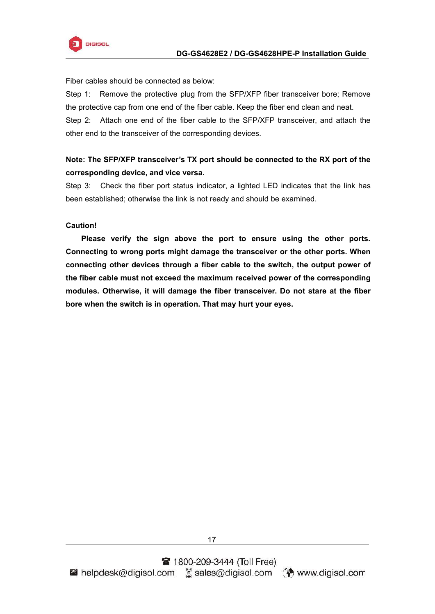

Fiber cables should be connected as below:

Step 1: Remove the protective plug from the SFP/XFP fiber transceiver bore; Remove the protective cap from one end of the fiber cable. Keep the fiber end clean and neat. Step 2: Attach one end of the fiber cable to the SFP/XFP transceiver, and attach the other end to the transceiver of the corresponding devices.

#### **Note: The SFP/XFP transceiver's TX port should be connected to the RX port of the corresponding device, and vice versa.**

Step 3: Check the fiber port status indicator, a lighted LED indicates that the link has been established; otherwise the link is not ready and should be examined.

#### **Caution!**

**Please verify the sign above the port to ensure using the other ports. Connecting to wrong ports might damage the transceiver or the other ports. When connecting other devices through a fiber cable to the switch, the output power of the fiber cable must not exceed the maximum received power of the corresponding modules. Otherwise, it will damage the fiber transceiver. Do not stare at the fiber bore when the switch is in operation. That may hurt your eyes.**